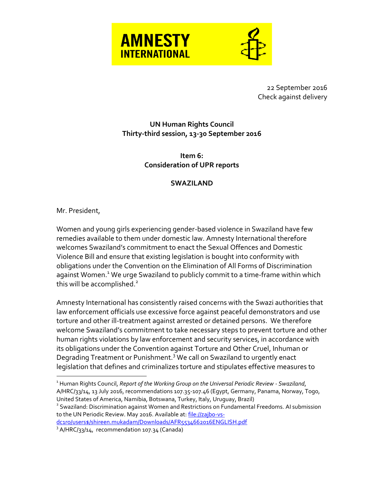



22 September 2016 Check against delivery

## **UN Human Rights Council Thirty-third session, 13-30 September 2016**

**Item 6: Consideration of UPR reports**

## **SWAZILAND**

Mr. President,

 $\overline{a}$ 

Women and young girls experiencing gender-based violence in Swaziland have few remedies available to them under domestic law. Amnesty International therefore welcomes Swaziland's commitment to enact the Sexual Offences and Domestic Violence Bill and ensure that existing legislation is bought into conformity with obligations under the Convention on the Elimination of All Forms of Discrimination against Women.<sup>1</sup> We urge Swaziland to publicly commit to a time-frame within which this will be accomplished. $2$ 

Amnesty International has consistently raised concerns with the Swazi authorities that law enforcement officials use excessive force against peaceful demonstrators and use torture and other ill-treatment against arrested or detained persons. We therefore welcome Swaziland's commitment to take necessary steps to prevent torture and other human rights violations by law enforcement and security services, in accordance with its obligations under the Convention against Torture and Other Cruel, Inhuman or Degrading Treatment or Punishment.<sup>3</sup> We call on Swaziland to urgently enact legislation that defines and criminalizes torture and stipulates effective measures to

[dc1ro/users\\$/shireen.mukadam/Downloads/AFR5534662016ENGLISH.pdf](file://zajb0-vs-dc1ro/users$/shireen.mukadam/Downloads/AFR5534662016ENGLISH.pdf)

<sup>1</sup> Human Rights Council, *Report of the Working Group on the Universal Periodic Review - Swaziland*, A/HRC/33/14, 13 July 2016, recommendations 107.35-107.46 (Egypt, Germany, Panama, Norway, Togo, United States of America, Namibia, Botswana, Turkey, Italy, Uruguay, Brazil)

<sup>&</sup>lt;sup>2</sup> Swaziland: Discrimination against Women and Restrictions on Fundamental Freedoms. AI submission to the UN Periodic Review. May 2016. Available at: file://zajbo-vs-

<sup>&</sup>lt;sup>3</sup> A/HRC/33/14, recommendation 107.34 (Canada)